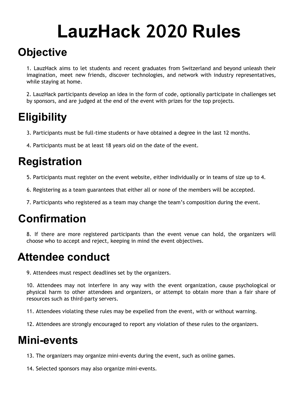# **LauzHack 2020 Rules**

# **Objective**

1. LauzHack aims to let students and recent graduates from Switzerland and beyond unleash their imagination, meet new friends, discover technologies, and network with industry representatives, while staying at home.

2. LauzHack participants develop an idea in the form of code, optionally participate in challenges set by sponsors, and are judged at the end of the event with prizes for the top projects.

# **Eligibility**

- 3. Participants must be full-time students or have obtained a degree in the last 12 months.
- 4. Participants must be at least 18 years old on the date of the event.

## **Registration**

- 5. Participants must register on the event website, either individually or in teams of size up to 4.
- 6. Registering as a team guarantees that either all or none of the members will be accepted.
- 7. Participants who registered as a team may change the team's composition during the event.

## **Confirmation**

8. If there are more registered participants than the event venue can hold, the organizers will choose who to accept and reject, keeping in mind the event objectives.

#### **Attendee conduct**

9. Attendees must respect deadlines set by the organizers.

10. Attendees may not interfere in any way with the event organization, cause psychological or physical harm to other attendees and organizers, or attempt to obtain more than a fair share of resources such as third-party servers.

11. Attendees violating these rules may be expelled from the event, with or without warning.

12. Attendees are strongly encouraged to report any violation of these rules to the organizers.

#### **Mini-events**

13. The organizers may organize mini-events during the event, such as online games.

14. Selected sponsors may also organize mini-events.